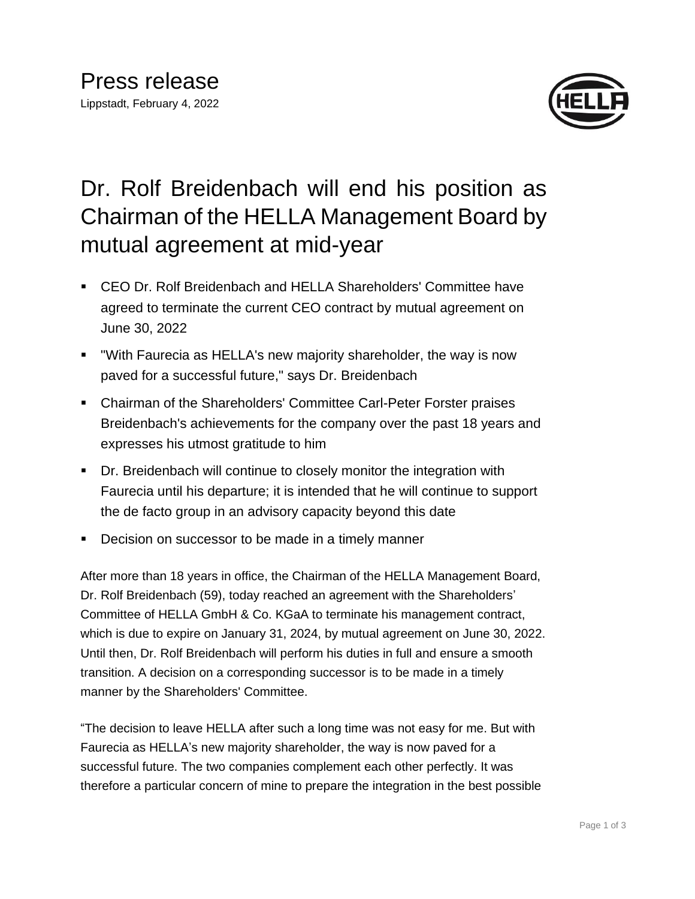

## Dr. Rolf Breidenbach will end his position as Chairman of the HELLA Management Board by mutual agreement at mid-year

- CEO Dr. Rolf Breidenbach and HELLA Shareholders' Committee have agreed to terminate the current CEO contract by mutual agreement on June 30, 2022
- "With Faurecia as HELLA's new majority shareholder, the way is now paved for a successful future," says Dr. Breidenbach
- Chairman of the Shareholders' Committee Carl-Peter Forster praises Breidenbach's achievements for the company over the past 18 years and expresses his utmost gratitude to him
- Dr. Breidenbach will continue to closely monitor the integration with Faurecia until his departure; it is intended that he will continue to support the de facto group in an advisory capacity beyond this date
- Decision on successor to be made in a timely manner

After more than 18 years in office, the Chairman of the HELLA Management Board, Dr. Rolf Breidenbach (59), today reached an agreement with the Shareholders' Committee of HELLA GmbH & Co. KGaA to terminate his management contract, which is due to expire on January 31, 2024, by mutual agreement on June 30, 2022. Until then, Dr. Rolf Breidenbach will perform his duties in full and ensure a smooth transition. A decision on a corresponding successor is to be made in a timely manner by the Shareholders' Committee.

"The decision to leave HELLA after such a long time was not easy for me. But with Faurecia as HELLA's new majority shareholder, the way is now paved for a successful future. The two companies complement each other perfectly. It was therefore a particular concern of mine to prepare the integration in the best possible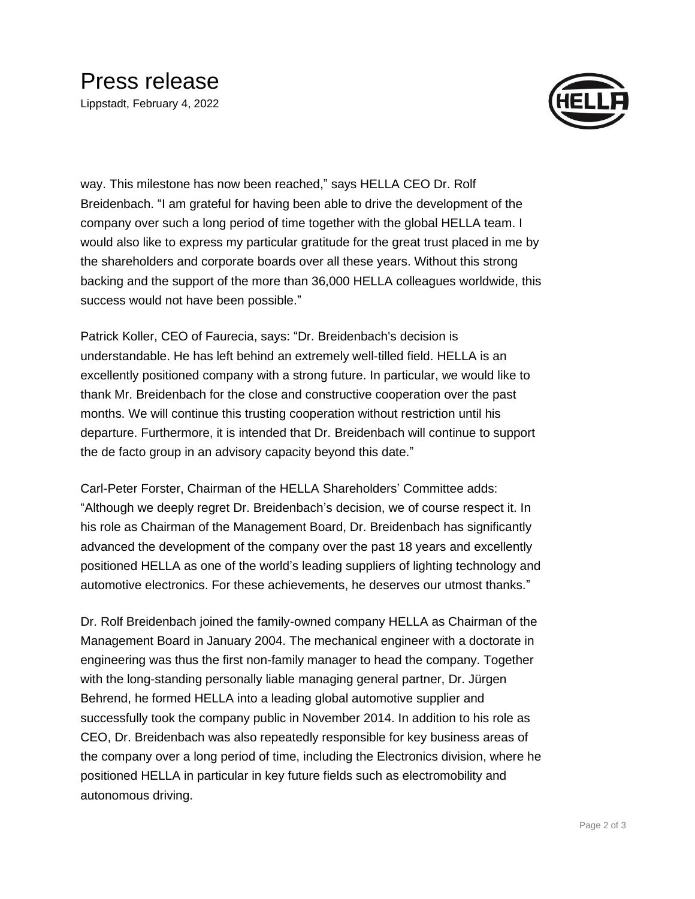## Press release

Lippstadt, February 4, 2022



way. This milestone has now been reached," says HELLA CEO Dr. Rolf Breidenbach. "I am grateful for having been able to drive the development of the company over such a long period of time together with the global HELLA team. I would also like to express my particular gratitude for the great trust placed in me by the shareholders and corporate boards over all these years. Without this strong backing and the support of the more than 36,000 HELLA colleagues worldwide, this success would not have been possible."

Patrick Koller, CEO of Faurecia, says: "Dr. Breidenbach's decision is understandable. He has left behind an extremely well-tilled field. HELLA is an excellently positioned company with a strong future. In particular, we would like to thank Mr. Breidenbach for the close and constructive cooperation over the past months. We will continue this trusting cooperation without restriction until his departure. Furthermore, it is intended that Dr. Breidenbach will continue to support the de facto group in an advisory capacity beyond this date."

Carl-Peter Forster, Chairman of the HELLA Shareholders' Committee adds: "Although we deeply regret Dr. Breidenbach's decision, we of course respect it. In his role as Chairman of the Management Board, Dr. Breidenbach has significantly advanced the development of the company over the past 18 years and excellently positioned HELLA as one of the world's leading suppliers of lighting technology and automotive electronics. For these achievements, he deserves our utmost thanks."

Dr. Rolf Breidenbach joined the family-owned company HELLA as Chairman of the Management Board in January 2004. The mechanical engineer with a doctorate in engineering was thus the first non-family manager to head the company. Together with the long-standing personally liable managing general partner, Dr. Jürgen Behrend, he formed HELLA into a leading global automotive supplier and successfully took the company public in November 2014. In addition to his role as CEO, Dr. Breidenbach was also repeatedly responsible for key business areas of the company over a long period of time, including the Electronics division, where he positioned HELLA in particular in key future fields such as electromobility and autonomous driving.